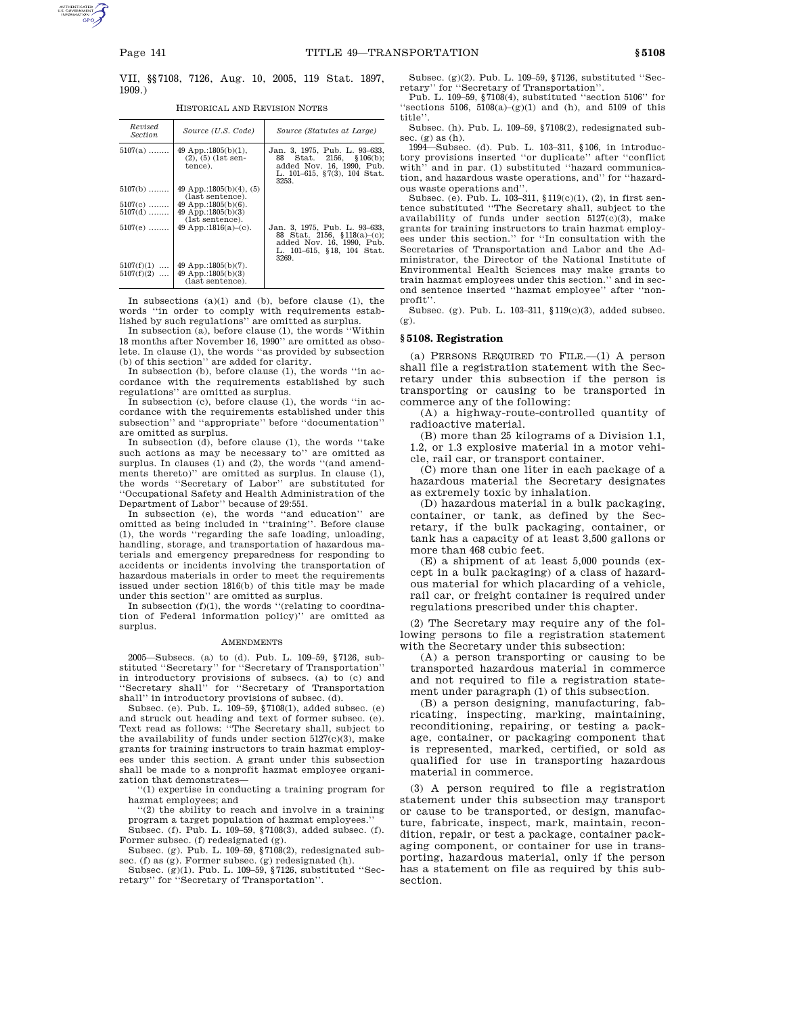VII, §§7108, 7126, Aug. 10, 2005, 119 Stat. 1897, 1909.)

HISTORICAL AND REVISION NOTES

| Revised<br><i>Section</i>    | Source (U.S. Code)                                                 | Source (Statutes at Large)                                                                                                       |
|------------------------------|--------------------------------------------------------------------|----------------------------------------------------------------------------------------------------------------------------------|
| $5107(a)$                    | 49 App.:1805(b)(1).<br>$(2), (5)$ (1st sen-<br>tence).             | Jan. 3, 1975, Pub. L. 93–633,<br>88 Stat. 2156, §106(b);<br>added Nov. 16, 1990, Pub.<br>L. 101-615, §7(3), 104 Stat.<br>3253.   |
| $5107(b)$                    | 49 App.:1805(b)(4), (5)<br>(last sentence).                        |                                                                                                                                  |
| $5107(c)$                    | 49 App.:1805 $(b)(6)$ .                                            |                                                                                                                                  |
| $5107(d)$                    | 49 App.:1805 $(b)(3)$<br>(1st sentence).                           |                                                                                                                                  |
| $5107(e)$                    | 49 App.:1816(a)–(c).                                               | Jan. 3, 1975, Pub. L. 93–633,<br>88 Stat. 2156, §118(a)-(c);<br>added Nov. 16, 1990, Pub.<br>L. 101-615, §18, 104 Stat.<br>3269. |
| $5107(f)(1)$<br>$5107(f)(2)$ | $49$ App.:1805(b)(7).<br>49 App.:1805 $(b)(3)$<br>(last sentence). |                                                                                                                                  |

In subsections  $(a)(1)$  and  $(b)$ , before clause  $(1)$ , the words ''in order to comply with requirements established by such regulations'' are omitted as surplus.

In subsection (a), before clause (1), the words ''Within 18 months after November 16, 1990'' are omitted as obsolete. In clause (1), the words ''as provided by subsection (b) of this section'' are added for clarity.

In subsection (b), before clause (1), the words ''in accordance with the requirements established by such regulations'' are omitted as surplus.

In subsection (c), before clause (1), the words ''in accordance with the requirements established under this subsection'' and ''appropriate'' before ''documentation'' are omitted as surplus.

In subsection (d), before clause (1), the words ''take such actions as may be necessary to'' are omitted as surplus. In clauses (1) and (2), the words ''(and amendments thereto)'' are omitted as surplus. In clause (1), the words ''Secretary of Labor'' are substituted for ''Occupational Safety and Health Administration of the Department of Labor'' because of 29:551.

In subsection (e), the words ''and education'' are omitted as being included in ''training''. Before clause (1), the words ''regarding the safe loading, unloading, handling, storage, and transportation of hazardous materials and emergency preparedness for responding to accidents or incidents involving the transportation of hazardous materials in order to meet the requirements issued under section 1816(b) of this title may be made under this section'' are omitted as surplus.

In subsection  $(f)(1)$ , the words "(relating to coordination of Federal information policy)'' are omitted as surplus.

# AMENDMENTS

2005—Subsecs. (a) to (d). Pub. L. 109–59, §7126, substituted ''Secretary'' for ''Secretary of Transportation'' in introductory provisions of subsecs. (a) to (c) and ''Secretary shall'' for ''Secretary of Transportation

shall'' in introductory provisions of subsec. (d). Subsec. (e). Pub. L. 109–59, §7108(1), added subsec. (e) and struck out heading and text of former subsec. (e). Text read as follows: ''The Secretary shall, subject to the availability of funds under section  $5127(c)(3)$ , make grants for training instructors to train hazmat employees under this section. A grant under this subsection shall be made to a nonprofit hazmat employee organization that demonstrates—

''(1) expertise in conducting a training program for hazmat employees; and

''(2) the ability to reach and involve in a training program a target population of hazmat employees.''

Subsec. (f). Pub. L. 109–59, §7108(3), added subsec. (f). Former subsec. (f) redesignated (g). Subsec. (g). Pub. L. 109–59, §7108(2), redesignated sub-

sec. (f) as (g). Former subsec. (g) redesignated (h).

Subsec. (g)(1). Pub. L. 109–59, §7126, substituted ''Secretary'' for ''Secretary of Transportation''.

Subsec. (g)(2). Pub. L. 109–59, §7126, substituted ''Secretary'' for ''Secretary of Transportation''.

Pub. L. 109–59, §7108(4), substituted ''section 5106'' for "sections 5106,  $5108(a)-(g)(1)$  and (h), and 5109 of this title''.

Subsec. (h). Pub. L. 109–59, §7108(2), redesignated subsec. (g) as (h).

1994—Subsec. (d). Pub. L. 103–311, §106, in introductory provisions inserted ''or duplicate'' after ''conflict with'' and in par. (1) substituted ''hazard communication, and hazardous waste operations, and'' for ''hazardous waste operations and''.

Subsec. (e). Pub. L. 103–311, §119(c)(1), (2), in first sentence substituted ''The Secretary shall, subject to the availability of funds under section 5127(c)(3), make grants for training instructors to train hazmat employees under this section.'' for ''In consultation with the Secretaries of Transportation and Labor and the Administrator, the Director of the National Institute of Environmental Health Sciences may make grants to train hazmat employees under this section.'' and in second sentence inserted ''hazmat employee'' after ''nonprofit''.

Subsec. (g). Pub. L. 103–311, §119(c)(3), added subsec. (g).

### **§ 5108. Registration**

(a) PERSONS REQUIRED TO FILE.—(1) A person shall file a registration statement with the Secretary under this subsection if the person is transporting or causing to be transported in commerce any of the following:

(A) a highway-route-controlled quantity of radioactive material.

(B) more than 25 kilograms of a Division 1.1, 1.2, or 1.3 explosive material in a motor vehicle, rail car, or transport container.

(C) more than one liter in each package of a hazardous material the Secretary designates as extremely toxic by inhalation.

(D) hazardous material in a bulk packaging, container, or tank, as defined by the Secretary, if the bulk packaging, container, or tank has a capacity of at least 3,500 gallons or more than 468 cubic feet.

(E) a shipment of at least 5,000 pounds (except in a bulk packaging) of a class of hazardous material for which placarding of a vehicle, rail car, or freight container is required under regulations prescribed under this chapter.

(2) The Secretary may require any of the following persons to file a registration statement with the Secretary under this subsection:

(A) a person transporting or causing to be transported hazardous material in commerce and not required to file a registration statement under paragraph (1) of this subsection.

(B) a person designing, manufacturing, fabricating, inspecting, marking, maintaining, reconditioning, repairing, or testing a package, container, or packaging component that is represented, marked, certified, or sold as qualified for use in transporting hazardous material in commerce.

(3) A person required to file a registration statement under this subsection may transport or cause to be transported, or design, manufacture, fabricate, inspect, mark, maintain, recondition, repair, or test a package, container packaging component, or container for use in transporting, hazardous material, only if the person has a statement on file as required by this subsection.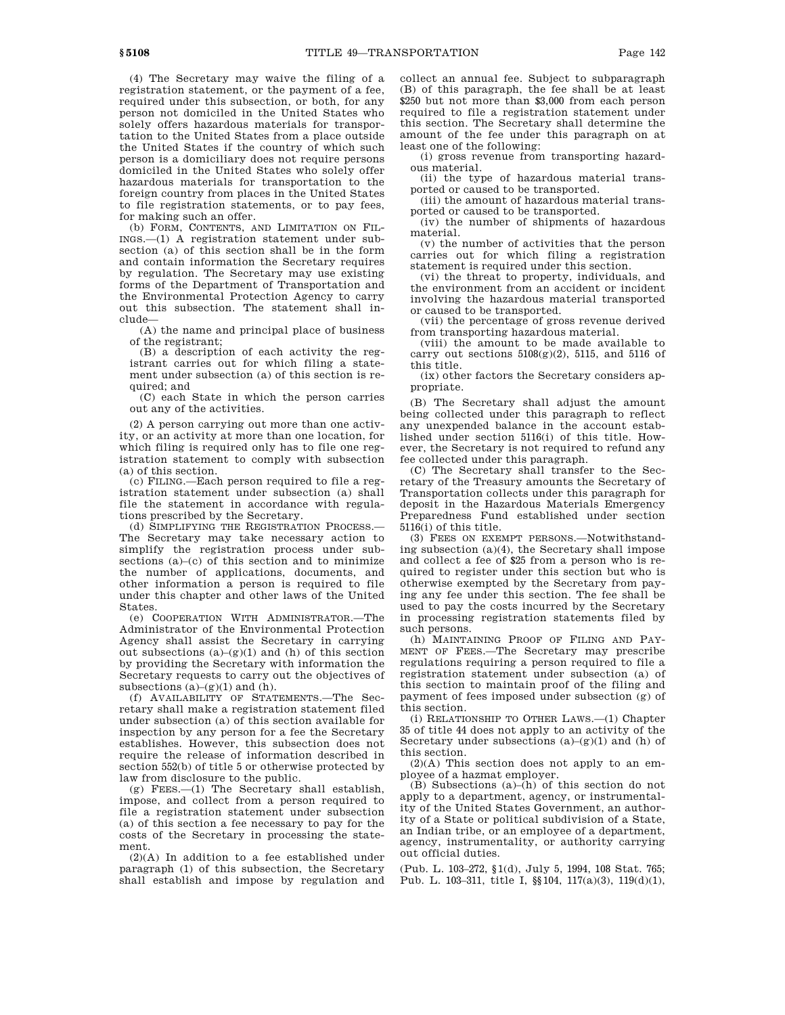(4) The Secretary may waive the filing of a registration statement, or the payment of a fee, required under this subsection, or both, for any person not domiciled in the United States who solely offers hazardous materials for transportation to the United States from a place outside the United States if the country of which such

person is a domiciliary does not require persons domiciled in the United States who solely offer hazardous materials for transportation to the foreign country from places in the United States to file registration statements, or to pay fees, for making such an offer.

(b) FORM, CONTENTS, AND LIMITATION ON FIL-INGS.—(1) A registration statement under subsection (a) of this section shall be in the form and contain information the Secretary requires by regulation. The Secretary may use existing forms of the Department of Transportation and the Environmental Protection Agency to carry out this subsection. The statement shall include—

(A) the name and principal place of business of the registrant;

(B) a description of each activity the registrant carries out for which filing a statement under subsection (a) of this section is required; and

(C) each State in which the person carries out any of the activities.

(2) A person carrying out more than one activity, or an activity at more than one location, for which filing is required only has to file one registration statement to comply with subsection (a) of this section.

(c) FILING.—Each person required to file a registration statement under subsection (a) shall file the statement in accordance with regulations prescribed by the Secretary.

(d) SIMPLIFYING THE REGISTRATION PROCESS.— The Secretary may take necessary action to simplify the registration process under subsections (a)–(c) of this section and to minimize the number of applications, documents, and other information a person is required to file under this chapter and other laws of the United States.

(e) COOPERATION WITH ADMINISTRATOR.—The Administrator of the Environmental Protection Agency shall assist the Secretary in carrying out subsections  $(a)-(g)(1)$  and  $(h)$  of this section by providing the Secretary with information the Secretary requests to carry out the objectives of subsections  $(a)-(g)(1)$  and  $(h)$ .

(f) AVAILABILITY OF STATEMENTS.—The Secretary shall make a registration statement filed under subsection (a) of this section available for inspection by any person for a fee the Secretary establishes. However, this subsection does not require the release of information described in section 552(b) of title 5 or otherwise protected by law from disclosure to the public.

(g) FEES.—(1) The Secretary shall establish, impose, and collect from a person required to file a registration statement under subsection (a) of this section a fee necessary to pay for the costs of the Secretary in processing the statement.

(2)(A) In addition to a fee established under paragraph (1) of this subsection, the Secretary shall establish and impose by regulation and collect an annual fee. Subject to subparagraph (B) of this paragraph, the fee shall be at least \$250 but not more than \$3,000 from each person required to file a registration statement under this section. The Secretary shall determine the amount of the fee under this paragraph on at least one of the following:

(i) gross revenue from transporting hazardous material.

(ii) the type of hazardous material transported or caused to be transported.

(iii) the amount of hazardous material transported or caused to be transported.

(iv) the number of shipments of hazardous material.

(v) the number of activities that the person carries out for which filing a registration statement is required under this section.

(vi) the threat to property, individuals, and the environment from an accident or incident involving the hazardous material transported or caused to be transported.

(vii) the percentage of gross revenue derived from transporting hazardous material.

(viii) the amount to be made available to carry out sections  $5108(g)(2)$ ,  $5115$ , and  $5116$  of this title.

(ix) other factors the Secretary considers appropriate.

(B) The Secretary shall adjust the amount being collected under this paragraph to reflect any unexpended balance in the account established under section 5116(i) of this title. However, the Secretary is not required to refund any fee collected under this paragraph.

(C) The Secretary shall transfer to the Secretary of the Treasury amounts the Secretary of Transportation collects under this paragraph for deposit in the Hazardous Materials Emergency Preparedness Fund established under section 5116(i) of this title.

(3) FEES ON EXEMPT PERSONS.—Notwithstanding subsection (a)(4), the Secretary shall impose and collect a fee of \$25 from a person who is required to register under this section but who is otherwise exempted by the Secretary from paying any fee under this section. The fee shall be used to pay the costs incurred by the Secretary in processing registration statements filed by such persons.

(h) MAINTAINING PROOF OF FILING AND PAY-MENT OF FEES.—The Secretary may prescribe regulations requiring a person required to file a registration statement under subsection (a) of this section to maintain proof of the filing and payment of fees imposed under subsection (g) of this section.

(i) RELATIONSHIP TO OTHER LAWS.—(1) Chapter 35 of title 44 does not apply to an activity of the Secretary under subsections  $(a)-(g)(1)$  and  $(h)$  of this section.

 $(2)(A)$  This section does not apply to an employee of a hazmat employer.

(B) Subsections (a)–(h) of this section do not apply to a department, agency, or instrumentality of the United States Government, an authority of a State or political subdivision of a State, an Indian tribe, or an employee of a department, agency, instrumentality, or authority carrying out official duties.

(Pub. L. 103–272, §1(d), July 5, 1994, 108 Stat. 765; Pub. L. 103–311, title I, §§104, 117(a)(3), 119(d)(1),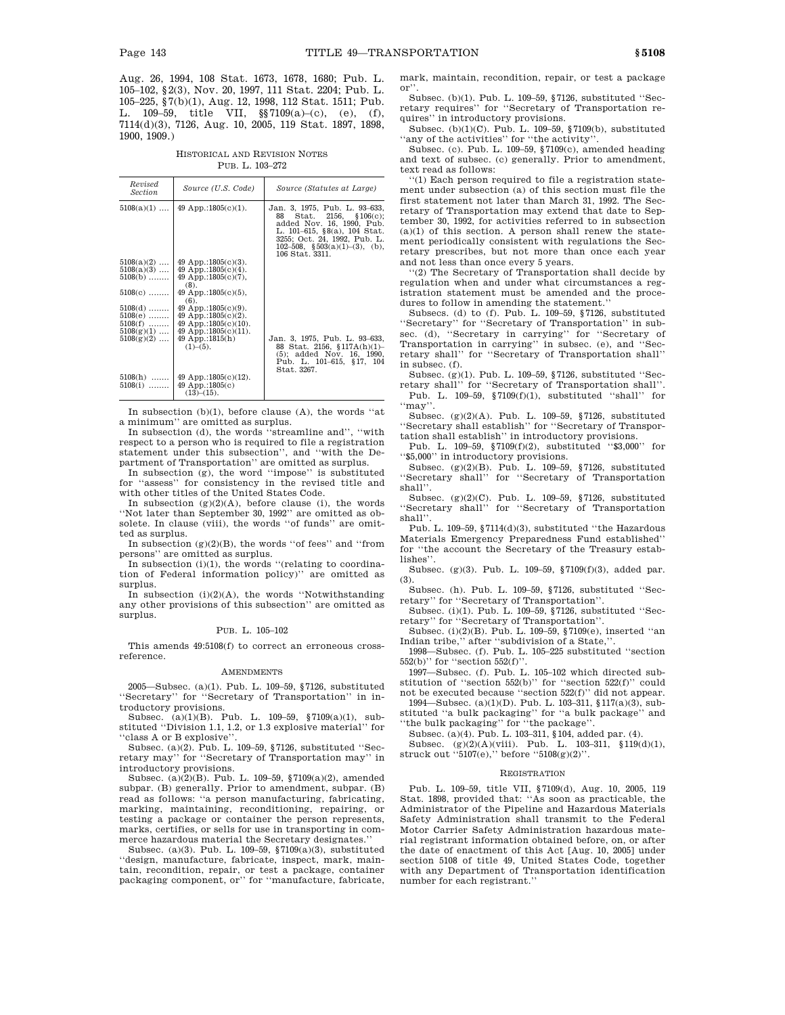Aug. 26, 1994, 108 Stat. 1673, 1678, 1680; Pub. L. 105–102, §2(3), Nov. 20, 1997, 111 Stat. 2204; Pub. L. 105–225, §7(b)(1), Aug. 12, 1998, 112 Stat. 1511; Pub. L. 109–59, title VII, §§7109(a)–(c), (e), (f), 7114(d)(3), 7126, Aug. 10, 2005, 119 Stat. 1897, 1898, 1900, 1909.)

HISTORICAL AND REVISION NOTES PUB. L. 103-272

| Revised<br><i>Section</i>                 | Source (U.S. Code)                                                                     | Source (Statutes at Large)                                                                                                                                                                                           |
|-------------------------------------------|----------------------------------------------------------------------------------------|----------------------------------------------------------------------------------------------------------------------------------------------------------------------------------------------------------------------|
| $5108(a)(1)$                              | 49 App.:1805 $(c)(1)$ .                                                                | Jan. 3, 1975, Pub. L. 93–633,<br>Stat. $2156, \S 106(c);$<br>88.<br>added Nov. 16, 1990, Pub.<br>L. 101-615, §8(a), 104 Stat.<br>3255; Oct. 24, 1992, Pub. L.<br>102-508, $$503(a)(1)–(3)$ , (b),<br>106 Stat. 3311. |
| $5108(a)(2)$<br>$5108(a)(3)$<br>$5108(b)$ | 49 App.:1805 $(c)(3)$ .<br>49 App.:1805 $(c)(4)$ .<br>$49$ App.:1805(c)(7).<br>$(8)$ . |                                                                                                                                                                                                                      |
| $5108(c)$                                 | 49 App.:1805(c)(5).<br>(6).                                                            |                                                                                                                                                                                                                      |
| $5108(d)$<br>$5108(e)$                    | $49$ App.:1805(c)(9).<br>49 App.:1805 $(c)(2)$ .                                       |                                                                                                                                                                                                                      |
| $5108(f)$                                 | $49$ App.:1805(c)(10).                                                                 |                                                                                                                                                                                                                      |
| $5108(g)(1)$<br>$5108(g)(2)$              | $49$ App.:1805(c)(11).<br>49 App.:1815(h)<br>$(1)–(5)$ .                               | Jan. 3, 1975, Pub. L. 93-633,<br>88 Stat. 2156, §117A(h)(1)-<br>$(5)$ ; added Nov. 16, 1990,<br>Pub. L. 101-615, §17, 104<br>Stat. 3267.                                                                             |
| $5108(h)$<br>$5108(i)$                    | 49 App.:1805 $(c)(12)$ .<br>49 App.:1805 $(c)$<br>$(13)–(15)$ .                        |                                                                                                                                                                                                                      |

In subsection  $(b)(1)$ , before clause  $(A)$ , the words "at a minimum'' are omitted as surplus.

In subsection (d), the words ''streamline and'', ''with respect to a person who is required to file a registration statement under this subsection'', and ''with the Department of Transportation'' are omitted as surplus.

In subsection (g), the word ''impose'' is substituted for ''assess'' for consistency in the revised title and with other titles of the United States Code.

In subsection  $(g)(2)(A)$ , before clause (i), the words ''Not later than September 30, 1992'' are omitted as obsolete. In clause (viii), the words ''of funds'' are omitted as surplus.

In subsection  $(g)(2)(B)$ , the words "of fees" and "from persons'' are omitted as surplus.

In subsection (i)(1), the words ''(relating to coordination of Federal information policy)'' are omitted as surplus.

In subsection  $(i)(2)(A)$ , the words "Notwithstanding" any other provisions of this subsection'' are omitted as surplus.

### PUB. L. 105–102

This amends 49:5108(f) to correct an erroneous crossreference.

#### AMENDMENTS

2005—Subsec. (a)(1). Pub. L. 109–59, §7126, substituted ''Secretary'' for ''Secretary of Transportation'' in introductory provisions.<br>Subsec.  $(a)(1)(B)$ . F

 $(a)(1)(B)$ . Pub. L. 109-59, §7109(a)(1), substituted ''Division 1.1, 1.2, or 1.3 explosive material'' for 'class A or B explosive''

Subsec. (a)(2). Pub. L. 109–59, §7126, substituted ''Secretary may'' for ''Secretary of Transportation may'' in introductory provisions.

Subsec. (a)(2)(B). Pub. L. 109–59, §7109(a)(2), amended subpar. (B) generally. Prior to amendment, subpar. (B) read as follows: ''a person manufacturing, fabricating, marking, maintaining, reconditioning, repairing, or testing a package or container the person represents, marks, certifies, or sells for use in transporting in commerce hazardous material the Secretary designates.''

Subsec. (a)(3). Pub. L. 109–59, §7109(a)(3), substituted ''design, manufacture, fabricate, inspect, mark, maintain, recondition, repair, or test a package, container packaging component, or'' for ''manufacture, fabricate,

mark, maintain, recondition, repair, or test a package or''.

Subsec. (b)(1). Pub. L. 109–59, §7126, substituted ''Secretary requires'' for ''Secretary of Transportation requires'' in introductory provisions.

Subsec. (b)(1)(C). Pub. L. 109–59, §7109(b), substituted ''any of the activities'' for ''the activity''.

Subsec. (c). Pub. L. 109–59, §7109(c), amended heading and text of subsec. (c) generally. Prior to amendment, text read as follows:

''(1) Each person required to file a registration statement under subsection (a) of this section must file the first statement not later than March 31, 1992. The Secretary of Transportation may extend that date to September 30, 1992, for activities referred to in subsection (a)(1) of this section. A person shall renew the statement periodically consistent with regulations the Secretary prescribes, but not more than once each year and not less than once every 5 years.

''(2) The Secretary of Transportation shall decide by regulation when and under what circumstances a registration statement must be amended and the procedures to follow in amending the statement.''

Subsecs. (d) to (f). Pub. L. 109–59, §7126, substituted ''Secretary'' for ''Secretary of Transportation'' in subsec. (d), ''Secretary in carrying'' for ''Secretary of Transportation in carrying'' in subsec. (e), and ''Secretary shall'' for ''Secretary of Transportation shall'' in subsec. (f).

Subsec. (g)(1). Pub. L. 109–59, §7126, substituted ''Secretary shall'' for ''Secretary of Transportation shall''.

Pub. L. 109–59, §7109(f)(1), substituted ''shall'' for ''may''.

Subsec. (g)(2)(A). Pub. L. 109–59, §7126, substituted ''Secretary shall establish'' for ''Secretary of Transportation shall establish'' in introductory provisions.

Pub. L. 109–59, §7109(f)(2), substituted ''\$3,000'' for ''\$5,000'' in introductory provisions.

Subsec. (g)(2)(B). Pub. L. 109–59, §7126, substituted ''Secretary shall'' for ''Secretary of Transportation shall''.

Subsec. (g)(2)(C). Pub. L. 109–59, §7126, substituted ''Secretary shall'' for ''Secretary of Transportation shall''.

Pub. L. 109–59, §7114(d)(3), substituted ''the Hazardous Materials Emergency Preparedness Fund established'' for ''the account the Secretary of the Treasury establishes''.

Subsec. (g)(3). Pub. L. 109–59, §7109(f)(3), added par. (3).

Subsec. (h). Pub. L. 109–59, §7126, substituted ''Secretary'' for ''Secretary of Transportation''.

Subsec. (i)(1). Pub. L. 109–59, §7126, substituted ''Secretary'' for ''Secretary of Transportation''.

Subsec. (i)(2)(B). Pub. L. 109–59, §7109(e), inserted ''an Indian tribe,'' after ''subdivision of a State,''.

1998—Subsec. (f). Pub. L. 105–225 substituted ''section 552(b)'' for ''section 552(f)''.

1997—Subsec. (f). Pub. L. 105–102 which directed substitution of ''section 552(b)'' for ''section 522(f)'' could not be executed because ''section 522(f)'' did not appear.

1994—Subsec. (a)(1)(D). Pub. L. 103–311, §117(a)(3), substituted ''a bulk packaging'' for ''a bulk package'' and

''the bulk packaging'' for ''the package''.

Subsec. (a)(4). Pub. L. 103–311, §104, added par. (4).

Subsec.  $(g)(2)(A)(viii)$ . Pub. L. 103-311, §119(d)(1), struck out ''5107(e),'' before ''5108(g)(2)''.

### **REGISTRATION**

Pub. L. 109–59, title VII, §7109(d), Aug. 10, 2005, 119 Stat. 1898, provided that: ''As soon as practicable, the Administrator of the Pipeline and Hazardous Materials Safety Administration shall transmit to the Federal Motor Carrier Safety Administration hazardous material registrant information obtained before, on, or after the date of enactment of this Act [Aug. 10, 2005] under section 5108 of title 49, United States Code, together with any Department of Transportation identification number for each registrant.''